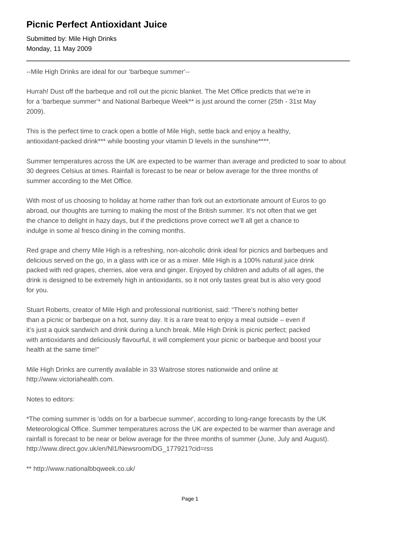## **Picnic Perfect Antioxidant Juice**

Submitted by: Mile High Drinks Monday, 11 May 2009

--Mile High Drinks are ideal for our 'barbeque summer'--

Hurrah! Dust off the barbeque and roll out the picnic blanket. The Met Office predicts that we're in for a 'barbeque summer'\* and National Barbeque Week\*\* is just around the corner (25th - 31st May 2009).

This is the perfect time to crack open a bottle of Mile High, settle back and enjoy a healthy, antioxidant-packed drink\*\*\* while boosting your vitamin D levels in the sunshine\*\*\*\*.

Summer temperatures across the UK are expected to be warmer than average and predicted to soar to about 30 degrees Celsius at times. Rainfall is forecast to be near or below average for the three months of summer according to the Met Office.

With most of us choosing to holiday at home rather than fork out an extortionate amount of Euros to go abroad, our thoughts are turning to making the most of the British summer. It's not often that we get the chance to delight in hazy days, but if the predictions prove correct we'll all get a chance to indulge in some al fresco dining in the coming months.

Red grape and cherry Mile High is a refreshing, non-alcoholic drink ideal for picnics and barbeques and delicious served on the go, in a glass with ice or as a mixer. Mile High is a 100% natural juice drink packed with red grapes, cherries, aloe vera and ginger. Enjoyed by children and adults of all ages, the drink is designed to be extremely high in antioxidants, so it not only tastes great but is also very good for you.

Stuart Roberts, creator of Mile High and professional nutritionist, said: "There's nothing better than a picnic or barbeque on a hot, sunny day. It is a rare treat to enjoy a meal outside – even if it's just a quick sandwich and drink during a lunch break. Mile High Drink is picnic perfect; packed with antioxidants and deliciously flavourful, it will complement your picnic or barbeque and boost your health at the same time!"

Mile High Drinks are currently available in 33 Waitrose stores nationwide and online at http://www.victoriahealth.com.

## Notes to editors:

\*The coming summer is 'odds on for a barbecue summer', according to long-range forecasts by the UK Meteorological Office. Summer temperatures across the UK are expected to be warmer than average and rainfall is forecast to be near or below average for the three months of summer (June, July and August). http://www.direct.gov.uk/en/Nl1/Newsroom/DG\_177921?cid=rss

\*\* http://www.nationalbbqweek.co.uk/